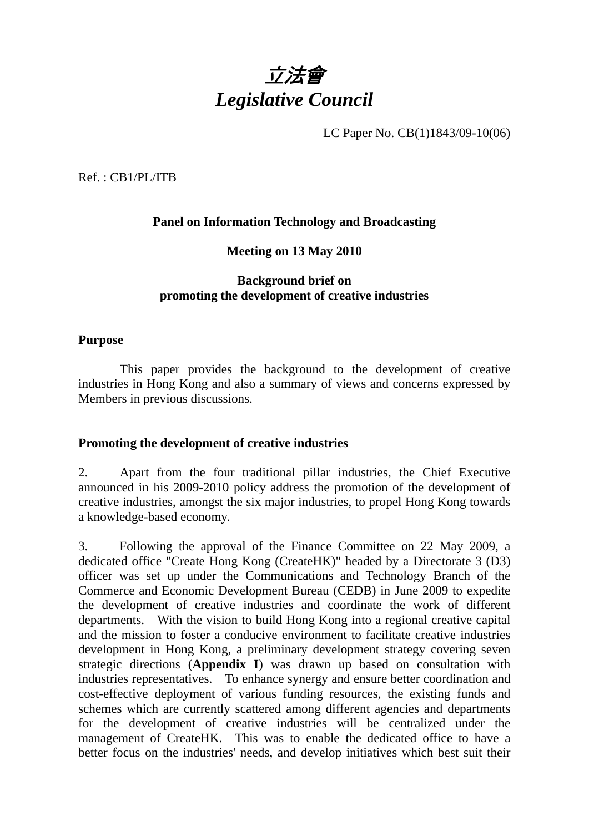

LC Paper No. CB(1)1843/09-10(06)

Ref. : CB1/PL/ITB

## **Panel on Information Technology and Broadcasting**

### **Meeting on 13 May 2010**

## **Background brief on promoting the development of creative industries**

### **Purpose**

 This paper provides the background to the development of creative industries in Hong Kong and also a summary of views and concerns expressed by Members in previous discussions.

#### **Promoting the development of creative industries**

2. Apart from the four traditional pillar industries, the Chief Executive announced in his 2009-2010 policy address the promotion of the development of creative industries, amongst the six major industries, to propel Hong Kong towards a knowledge-based economy.

3. Following the approval of the Finance Committee on 22 May 2009, a dedicated office "Create Hong Kong (CreateHK)" headed by a Directorate 3 (D3) officer was set up under the Communications and Technology Branch of the Commerce and Economic Development Bureau (CEDB) in June 2009 to expedite the development of creative industries and coordinate the work of different departments. With the vision to build Hong Kong into a regional creative capital and the mission to foster a conducive environment to facilitate creative industries development in Hong Kong, a preliminary development strategy covering seven strategic directions (**Appendix I**) was drawn up based on consultation with industries representatives. To enhance synergy and ensure better coordination and cost-effective deployment of various funding resources, the existing funds and schemes which are currently scattered among different agencies and departments for the development of creative industries will be centralized under the management of CreateHK. This was to enable the dedicated office to have a better focus on the industries' needs, and develop initiatives which best suit their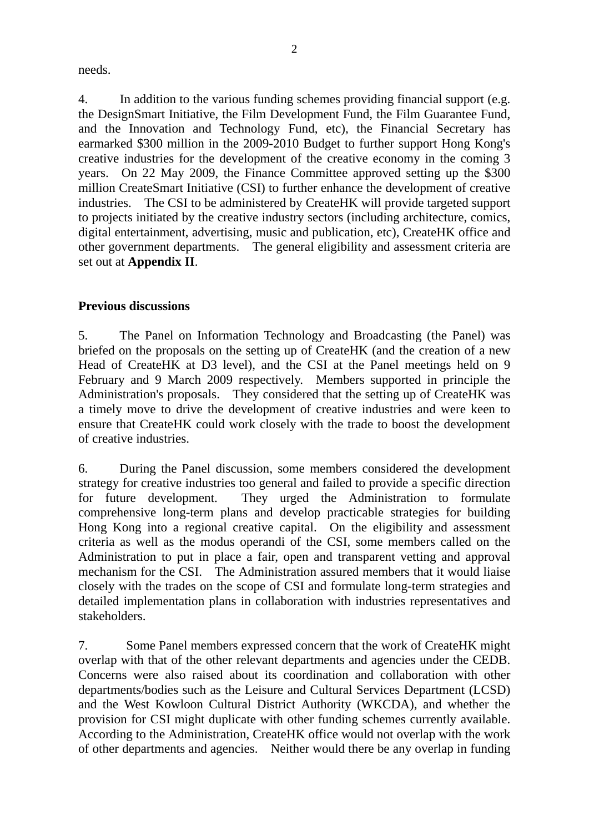needs.

4. In addition to the various funding schemes providing financial support (e.g. the DesignSmart Initiative, the Film Development Fund, the Film Guarantee Fund, and the Innovation and Technology Fund, etc), the Financial Secretary has earmarked \$300 million in the 2009-2010 Budget to further support Hong Kong's creative industries for the development of the creative economy in the coming 3 years. On 22 May 2009, the Finance Committee approved setting up the \$300 million CreateSmart Initiative (CSI) to further enhance the development of creative industries. The CSI to be administered by CreateHK will provide targeted support to projects initiated by the creative industry sectors (including architecture, comics, digital entertainment, advertising, music and publication, etc), CreateHK office and other government departments. The general eligibility and assessment criteria are set out at **Appendix II**.

# **Previous discussions**

5. The Panel on Information Technology and Broadcasting (the Panel) was briefed on the proposals on the setting up of CreateHK (and the creation of a new Head of CreateHK at D3 level), and the CSI at the Panel meetings held on 9 February and 9 March 2009 respectively. Members supported in principle the Administration's proposals. They considered that the setting up of CreateHK was a timely move to drive the development of creative industries and were keen to ensure that CreateHK could work closely with the trade to boost the development of creative industries.

6. During the Panel discussion, some members considered the development strategy for creative industries too general and failed to provide a specific direction for future development. They urged the Administration to formulate comprehensive long-term plans and develop practicable strategies for building Hong Kong into a regional creative capital. On the eligibility and assessment criteria as well as the modus operandi of the CSI, some members called on the Administration to put in place a fair, open and transparent vetting and approval mechanism for the CSI. The Administration assured members that it would liaise closely with the trades on the scope of CSI and formulate long-term strategies and detailed implementation plans in collaboration with industries representatives and stakeholders.

7. Some Panel members expressed concern that the work of CreateHK might overlap with that of the other relevant departments and agencies under the CEDB. Concerns were also raised about its coordination and collaboration with other departments/bodies such as the Leisure and Cultural Services Department (LCSD) and the West Kowloon Cultural District Authority (WKCDA), and whether the provision for CSI might duplicate with other funding schemes currently available. According to the Administration, CreateHK office would not overlap with the work of other departments and agencies. Neither would there be any overlap in funding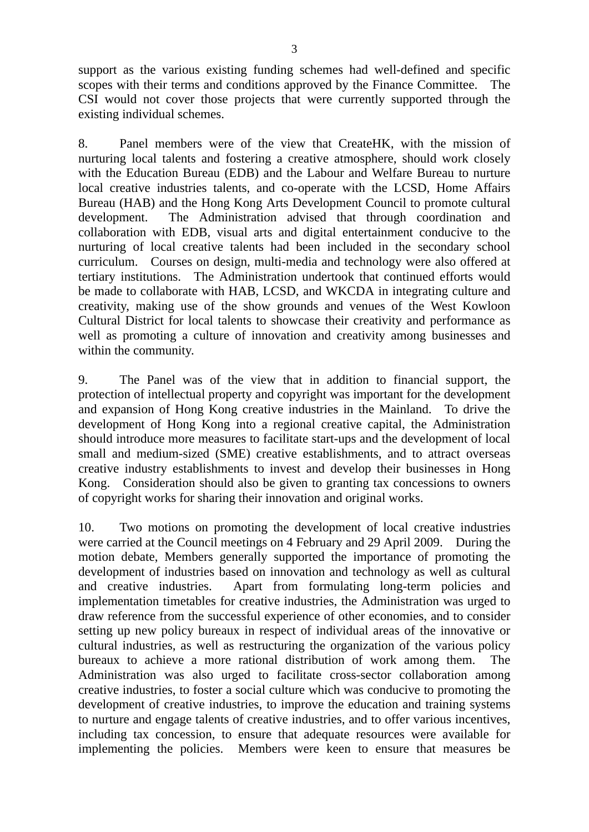support as the various existing funding schemes had well-defined and specific scopes with their terms and conditions approved by the Finance Committee. The CSI would not cover those projects that were currently supported through the existing individual schemes.

8. Panel members were of the view that CreateHK, with the mission of nurturing local talents and fostering a creative atmosphere, should work closely with the Education Bureau (EDB) and the Labour and Welfare Bureau to nurture local creative industries talents, and co-operate with the LCSD, Home Affairs Bureau (HAB) and the Hong Kong Arts Development Council to promote cultural development. The Administration advised that through coordination and collaboration with EDB, visual arts and digital entertainment conducive to the nurturing of local creative talents had been included in the secondary school curriculum. Courses on design, multi-media and technology were also offered at tertiary institutions. The Administration undertook that continued efforts would be made to collaborate with HAB, LCSD, and WKCDA in integrating culture and creativity, making use of the show grounds and venues of the West Kowloon Cultural District for local talents to showcase their creativity and performance as well as promoting a culture of innovation and creativity among businesses and within the community.

9. The Panel was of the view that in addition to financial support, the protection of intellectual property and copyright was important for the development and expansion of Hong Kong creative industries in the Mainland. To drive the development of Hong Kong into a regional creative capital, the Administration should introduce more measures to facilitate start-ups and the development of local small and medium-sized (SME) creative establishments, and to attract overseas creative industry establishments to invest and develop their businesses in Hong Kong. Consideration should also be given to granting tax concessions to owners of copyright works for sharing their innovation and original works.

10. Two motions on promoting the development of local creative industries were carried at the Council meetings on 4 February and 29 April 2009. During the motion debate, Members generally supported the importance of promoting the development of industries based on innovation and technology as well as cultural and creative industries. Apart from formulating long-term policies and implementation timetables for creative industries, the Administration was urged to draw reference from the successful experience of other economies, and to consider setting up new policy bureaux in respect of individual areas of the innovative or cultural industries, as well as restructuring the organization of the various policy bureaux to achieve a more rational distribution of work among them. The Administration was also urged to facilitate cross-sector collaboration among creative industries, to foster a social culture which was conducive to promoting the development of creative industries, to improve the education and training systems to nurture and engage talents of creative industries, and to offer various incentives, including tax concession, to ensure that adequate resources were available for implementing the policies. Members were keen to ensure that measures be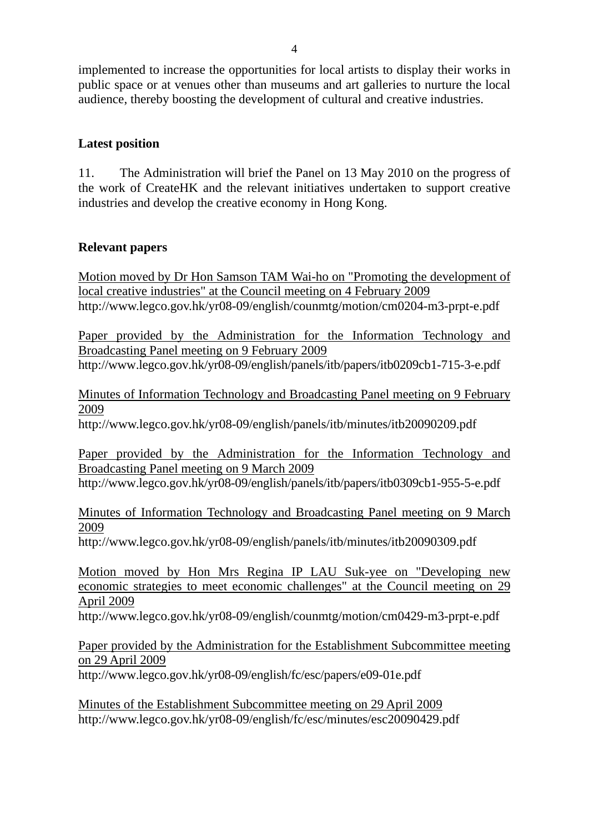implemented to increase the opportunities for local artists to display their works in public space or at venues other than museums and art galleries to nurture the local audience, thereby boosting the development of cultural and creative industries.

# **Latest position**

11. The Administration will brief the Panel on 13 May 2010 on the progress of the work of CreateHK and the relevant initiatives undertaken to support creative industries and develop the creative economy in Hong Kong.

# **Relevant papers**

Motion moved by Dr Hon Samson TAM Wai-ho on "Promoting the development of local creative industries" at the Council meeting on 4 February 2009 http://www.legco.gov.hk/yr08-09/english/counmtg/motion/cm0204-m3-prpt-e.pdf

Paper provided by the Administration for the Information Technology and Broadcasting Panel meeting on 9 February 2009 http://www.legco.gov.hk/yr08-09/english/panels/itb/papers/itb0209cb1-715-3-e.pdf

Minutes of Information Technology and Broadcasting Panel meeting on 9 February 2009

http://www.legco.gov.hk/yr08-09/english/panels/itb/minutes/itb20090209.pdf

Paper provided by the Administration for the Information Technology and Broadcasting Panel meeting on 9 March 2009

http://www.legco.gov.hk/yr08-09/english/panels/itb/papers/itb0309cb1-955-5-e.pdf

Minutes of Information Technology and Broadcasting Panel meeting on 9 March 2009

http://www.legco.gov.hk/yr08-09/english/panels/itb/minutes/itb20090309.pdf

Motion moved by Hon Mrs Regina IP LAU Suk-yee on "Developing new economic strategies to meet economic challenges" at the Council meeting on 29 April 2009

http://www.legco.gov.hk/yr08-09/english/counmtg/motion/cm0429-m3-prpt-e.pdf

# Paper provided by the Administration for the Establishment Subcommittee meeting on 29 April 2009

http://www.legco.gov.hk/yr08-09/english/fc/esc/papers/e09-01e.pdf

Minutes of the Establishment Subcommittee meeting on 29 April 2009 http://www.legco.gov.hk/yr08-09/english/fc/esc/minutes/esc20090429.pdf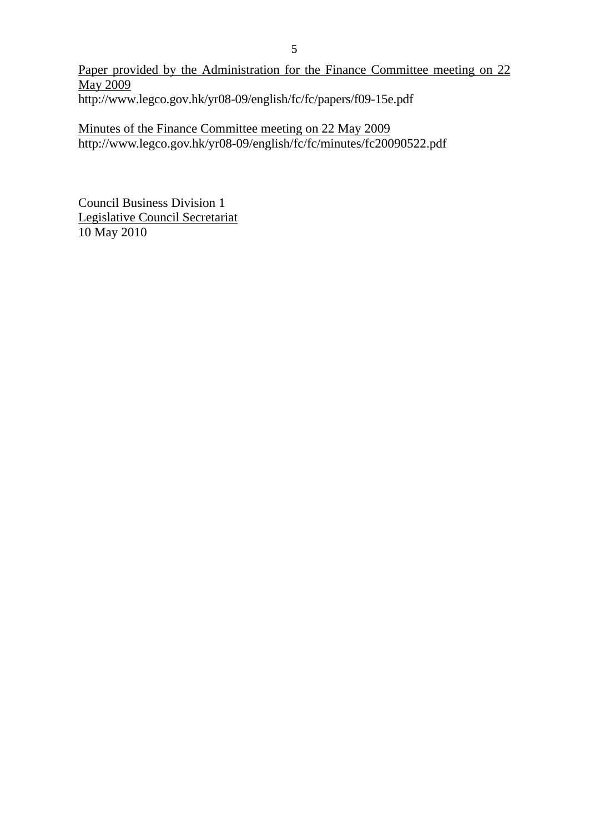Paper provided by the Administration for the Finance Committee meeting on 22 May 2009 http://www.legco.gov.hk/yr08-09/english/fc/fc/papers/f09-15e.pdf

Minutes of the Finance Committee meeting on 22 May 2009 http://www.legco.gov.hk/yr08-09/english/fc/fc/minutes/fc20090522.pdf

Council Business Division 1 Legislative Council Secretariat 10 May 2010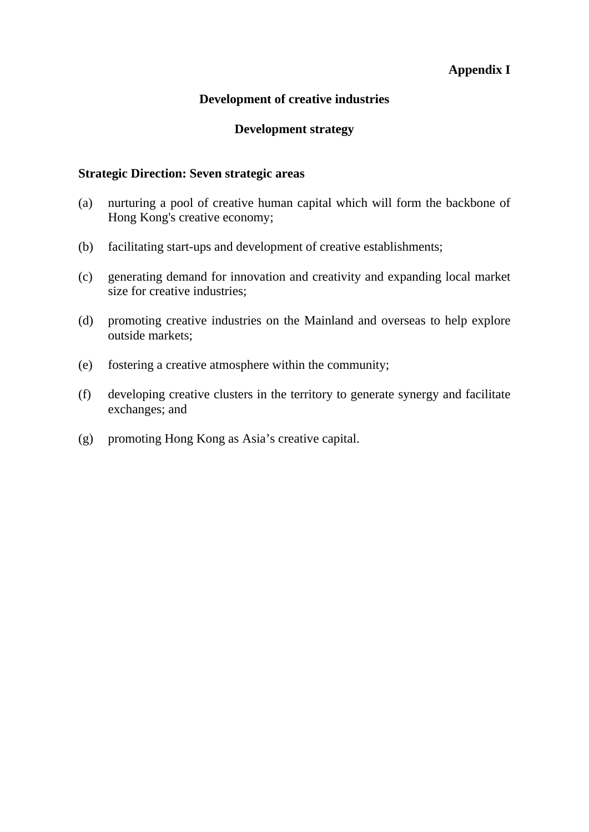# **Appendix I**

## **Development of creative industries**

### **Development strategy**

### **Strategic Direction: Seven strategic areas**

- (a) nurturing a pool of creative human capital which will form the backbone of Hong Kong's creative economy;
- (b) facilitating start-ups and development of creative establishments;
- (c) generating demand for innovation and creativity and expanding local market size for creative industries;
- (d) promoting creative industries on the Mainland and overseas to help explore outside markets;
- (e) fostering a creative atmosphere within the community;
- (f) developing creative clusters in the territory to generate synergy and facilitate exchanges; and
- (g) promoting Hong Kong as Asia's creative capital.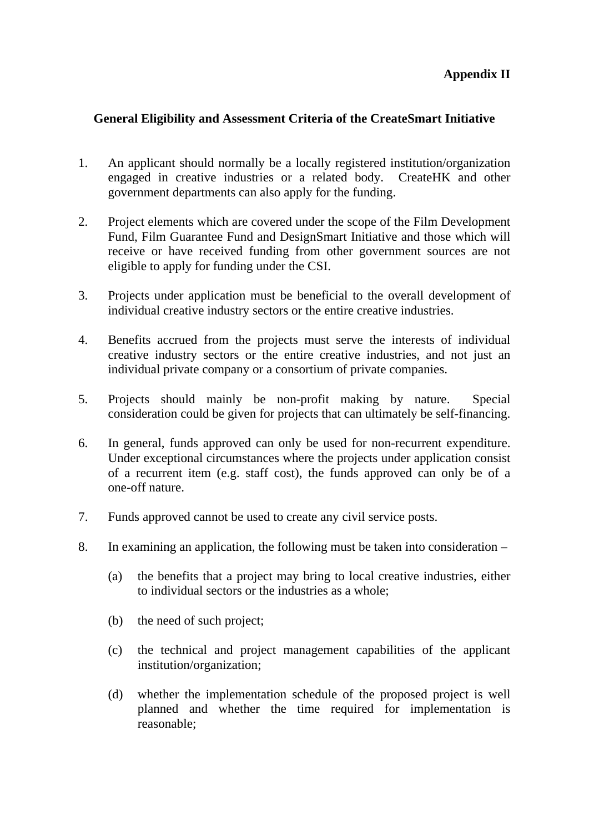# **Appendix II**

# **General Eligibility and Assessment Criteria of the CreateSmart Initiative**

- 1. An applicant should normally be a locally registered institution/organization engaged in creative industries or a related body. CreateHK and other government departments can also apply for the funding.
- 2. Project elements which are covered under the scope of the Film Development Fund, Film Guarantee Fund and DesignSmart Initiative and those which will receive or have received funding from other government sources are not eligible to apply for funding under the CSI.
- 3. Projects under application must be beneficial to the overall development of individual creative industry sectors or the entire creative industries.
- 4. Benefits accrued from the projects must serve the interests of individual creative industry sectors or the entire creative industries, and not just an individual private company or a consortium of private companies.
- 5. Projects should mainly be non-profit making by nature. Special consideration could be given for projects that can ultimately be self-financing.
- 6. In general, funds approved can only be used for non-recurrent expenditure. Under exceptional circumstances where the projects under application consist of a recurrent item (e.g. staff cost), the funds approved can only be of a one-off nature.
- 7. Funds approved cannot be used to create any civil service posts.
- 8. In examining an application, the following must be taken into consideration
	- (a) the benefits that a project may bring to local creative industries, either to individual sectors or the industries as a whole;
	- (b) the need of such project;
	- (c) the technical and project management capabilities of the applicant institution/organization;
	- (d) whether the implementation schedule of the proposed project is well planned and whether the time required for implementation is reasonable;